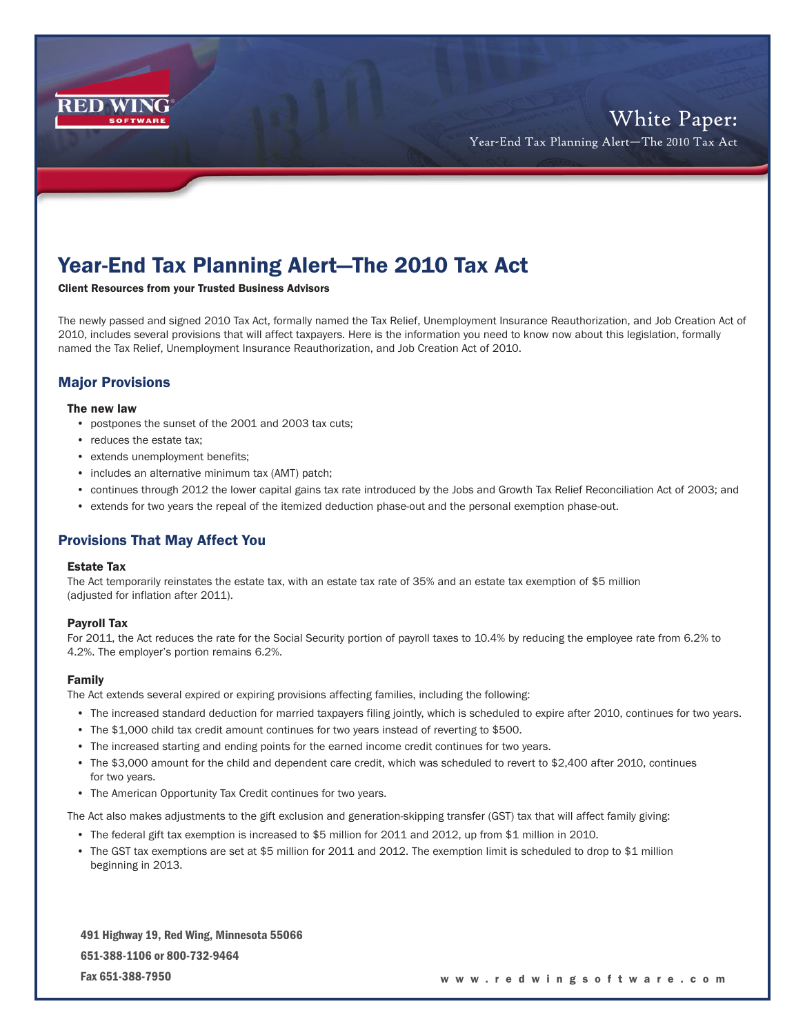

# Year-End Tax Planning Alert—The 2010 Tax Act

Client Resources from your Trusted Business Advisors

The newly passed and signed 2010 Tax Act, formally named the Tax Relief, Unemployment Insurance Reauthorization, and Job Creation Act of 2010, includes several provisions that will affect taxpayers. Here is the information you need to know now about this legislation, formally named the Tax Relief, Unemployment Insurance Reauthorization, and Job Creation Act of 2010.

# Major Provisions

#### The new law

- postpones the sunset of the 2001 and 2003 tax cuts;
- reduces the estate tax;
- extends unemployment benefits;
- includes an alternative minimum tax (AMT) patch;
- continues through 2012 the lower capital gains tax rate introduced by the Jobs and Growth Tax Relief Reconciliation Act of 2003; and
- extends for two years the repeal of the itemized deduction phase-out and the personal exemption phase-out.

## Provisions That May Affect You

## Estate Tax

The Act temporarily reinstates the estate tax, with an estate tax rate of 35% and an estate tax exemption of \$5 million (adjusted for inflation after 2011).

### Payroll Tax

For 2011, the Act reduces the rate for the Social Security portion of payroll taxes to 10.4% by reducing the employee rate from 6.2% to 4.2%. The employer's portion remains 6.2%.

### Family

The Act extends several expired or expiring provisions affecting families, including the following:

- The increased standard deduction for married taxpayers filing jointly, which is scheduled to expire after 2010, continues for two years.
- The \$1,000 child tax credit amount continues for two years instead of reverting to \$500.
- The increased starting and ending points for the earned income credit continues for two years.
- The \$3,000 amount for the child and dependent care credit, which was scheduled to revert to \$2,400 after 2010, continues for two years.
- The American Opportunity Tax Credit continues for two years.

The Act also makes adjustments to the gift exclusion and generation-skipping transfer (GST) tax that will affect family giving:

- The federal gift tax exemption is increased to \$5 million for 2011 and 2012, up from \$1 million in 2010.
- The GST tax exemptions are set at \$5 million for 2011 and 2012. The exemption limit is scheduled to drop to \$1 million beginning in 2013.

491 Highway 19, Red Wing, Minnesota 55066 651-388-1106 or 800-732-9464 Fax 651-388-7950

#### w w w . r e d w i n g s o f t w a r e . c o m